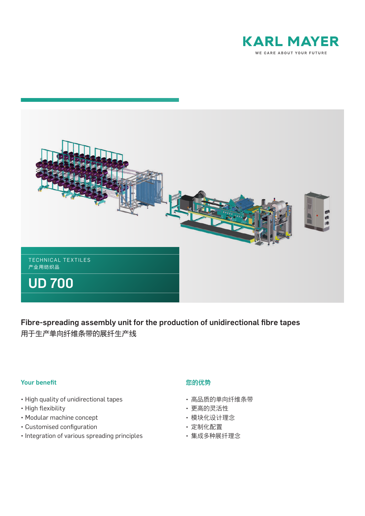



Fibre-spreading assembly unit for the production of unidirectional fibre tapes 用于生产单向纤维条带的展纤生产线

## Your benefit

- High quality of unidirectional tapes
- High flexibility
- Modular machine concept
- Customised configuration
- Integration of various spreading principles

## 您的优势

- 高品质的单向纤维条带
- 更高的灵活性
- 模块化设计理念
- 定制化配置
- 集成多种展纤理念